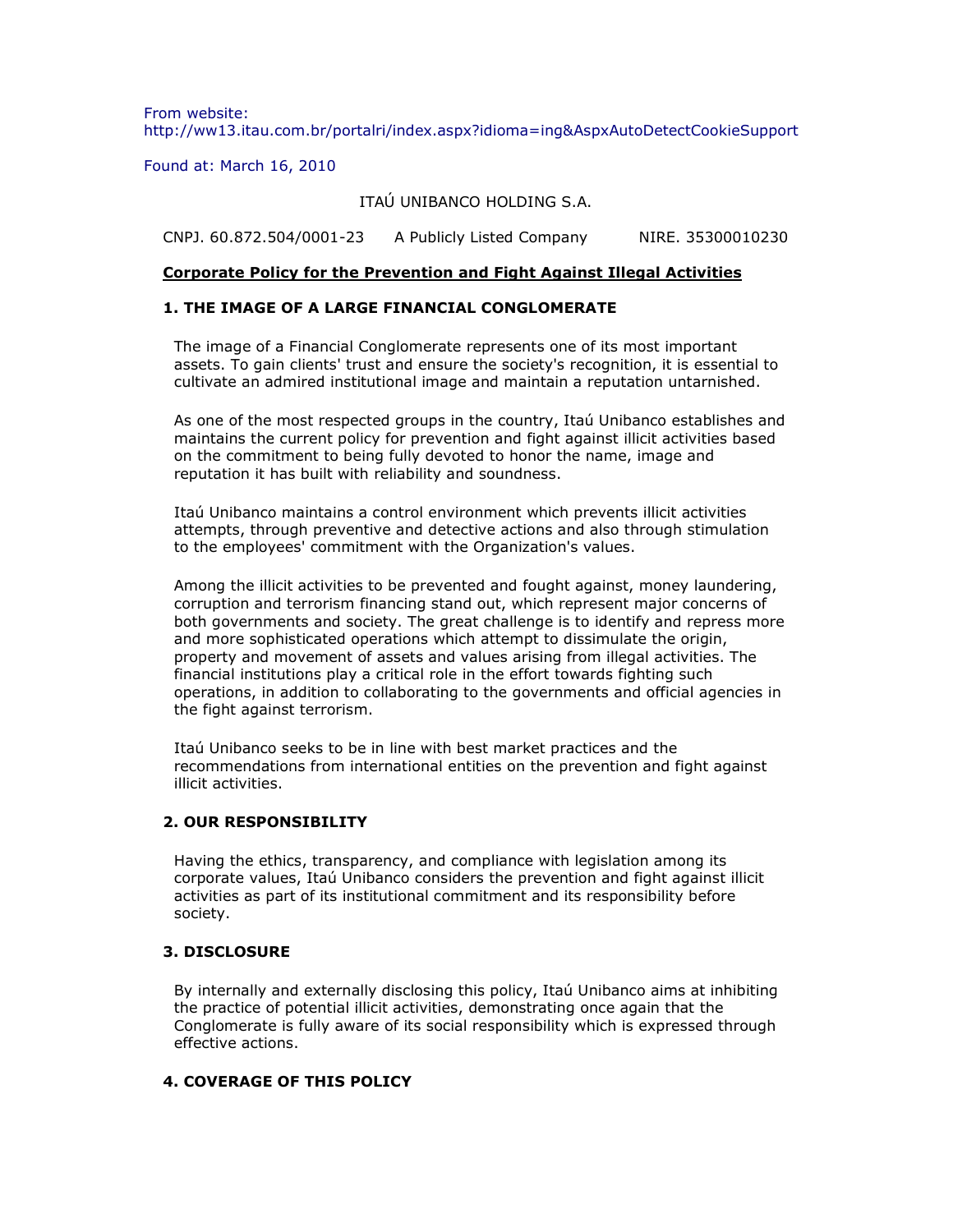From website: http://ww13.itau.com.br/portalri/index.aspx?idioma=ing&AspxAutoDetectCookieSupport

Found at: March 16, 2010

ITAÚ UNIBANCO HOLDING S.A.

CNPJ. 60.872.504/0001-23 A Publicly Listed Company NIRE. 35300010230

### **Corporate Policy for the Prevention and Fight Against Illegal Activities**

#### **1. THE IMAGE OF A LARGE FINANCIAL CONGLOMERATE**

The image of a Financial Conglomerate represents one of its most important assets. To gain clients' trust and ensure the society's recognition, it is essential to cultivate an admired institutional image and maintain a reputation untarnished.

As one of the most respected groups in the country, Itaú Unibanco establishes and maintains the current policy for prevention and fight against illicit activities based on the commitment to being fully devoted to honor the name, image and reputation it has built with reliability and soundness.

Itaú Unibanco maintains a control environment which prevents illicit activities attempts, through preventive and detective actions and also through stimulation to the employees' commitment with the Organization's values.

Among the illicit activities to be prevented and fought against, money laundering, corruption and terrorism financing stand out, which represent major concerns of both governments and society. The great challenge is to identify and repress more and more sophisticated operations which attempt to dissimulate the origin, property and movement of assets and values arising from illegal activities. The financial institutions play a critical role in the effort towards fighting such operations, in addition to collaborating to the governments and official agencies in the fight against terrorism.

Itaú Unibanco seeks to be in line with best market practices and the recommendations from international entities on the prevention and fight against illicit activities.

### **2. OUR RESPONSIBILITY**

Having the ethics, transparency, and compliance with legislation among its corporate values, Itaú Unibanco considers the prevention and fight against illicit activities as part of its institutional commitment and its responsibility before society.

# **3. DISCLOSURE**

By internally and externally disclosing this policy, Itaú Unibanco aims at inhibiting the practice of potential illicit activities, demonstrating once again that the Conglomerate is fully aware of its social responsibility which is expressed through effective actions.

# **4. COVERAGE OF THIS POLICY**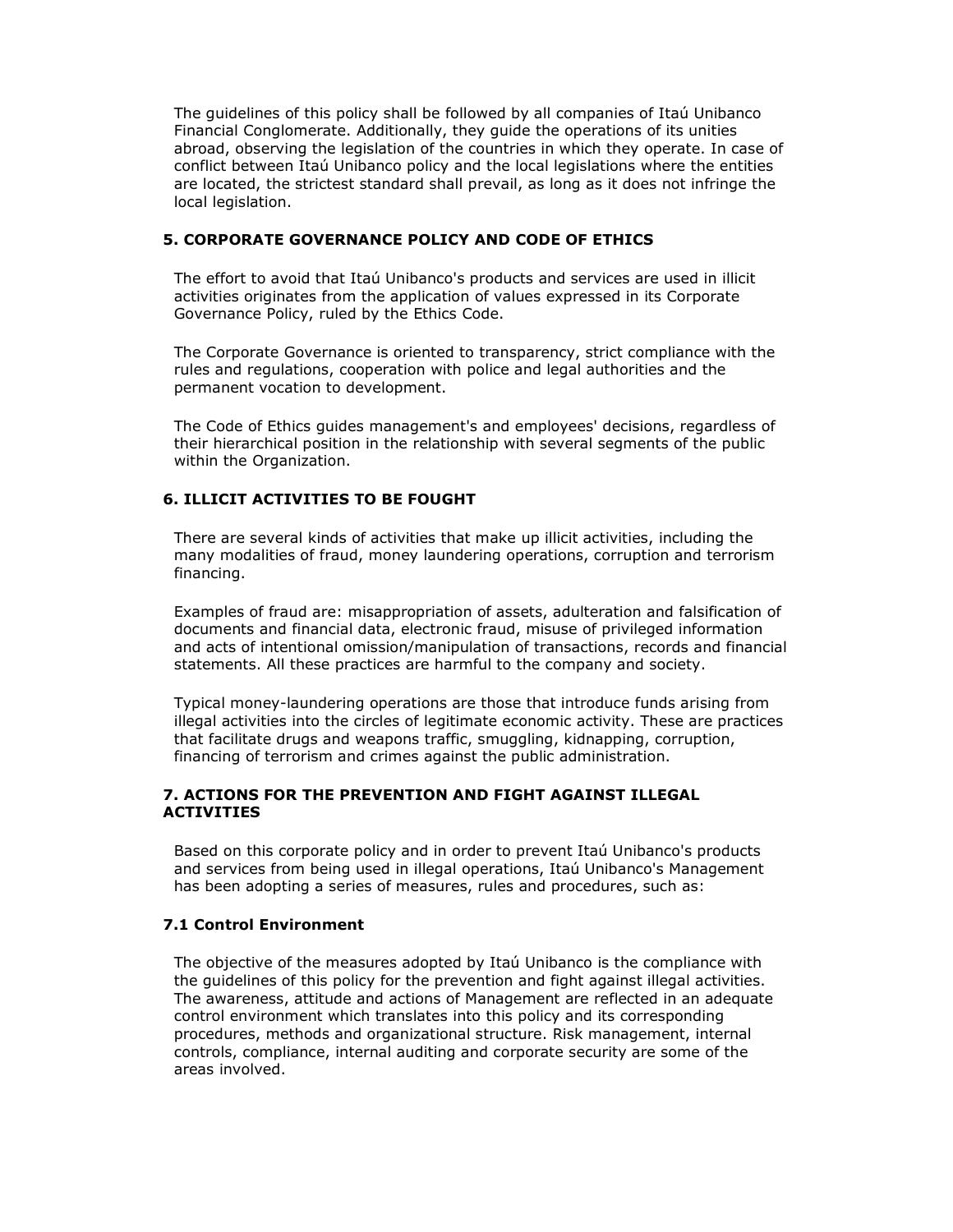The guidelines of this policy shall be followed by all companies of Itaú Unibanco Financial Conglomerate. Additionally, they guide the operations of its unities abroad, observing the legislation of the countries in which they operate. In case of conflict between Itaú Unibanco policy and the local legislations where the entities are located, the strictest standard shall prevail, as long as it does not infringe the local legislation.

# **5. CORPORATE GOVERNANCE POLICY AND CODE OF ETHICS**

The effort to avoid that Itaú Unibanco's products and services are used in illicit activities originates from the application of values expressed in its Corporate Governance Policy, ruled by the Ethics Code.

The Corporate Governance is oriented to transparency, strict compliance with the rules and regulations, cooperation with police and legal authorities and the permanent vocation to development.

The Code of Ethics guides management's and employees' decisions, regardless of their hierarchical position in the relationship with several segments of the public within the Organization.

# **6. ILLICIT ACTIVITIES TO BE FOUGHT**

There are several kinds of activities that make up illicit activities, including the many modalities of fraud, money laundering operations, corruption and terrorism financing.

Examples of fraud are: misappropriation of assets, adulteration and falsification of documents and financial data, electronic fraud, misuse of privileged information and acts of intentional omission/manipulation of transactions, records and financial statements. All these practices are harmful to the company and society.

Typical money-laundering operations are those that introduce funds arising from illegal activities into the circles of legitimate economic activity. These are practices that facilitate drugs and weapons traffic, smuggling, kidnapping, corruption, financing of terrorism and crimes against the public administration.

### **7. ACTIONS FOR THE PREVENTION AND FIGHT AGAINST ILLEGAL ACTIVITIES**

Based on this corporate policy and in order to prevent Itaú Unibanco's products and services from being used in illegal operations, Itaú Unibanco's Management has been adopting a series of measures, rules and procedures, such as:

### **7.1 Control Environment**

The objective of the measures adopted by Itaú Unibanco is the compliance with the guidelines of this policy for the prevention and fight against illegal activities. The awareness, attitude and actions of Management are reflected in an adequate control environment which translates into this policy and its corresponding procedures, methods and organizational structure. Risk management, internal controls, compliance, internal auditing and corporate security are some of the areas involved.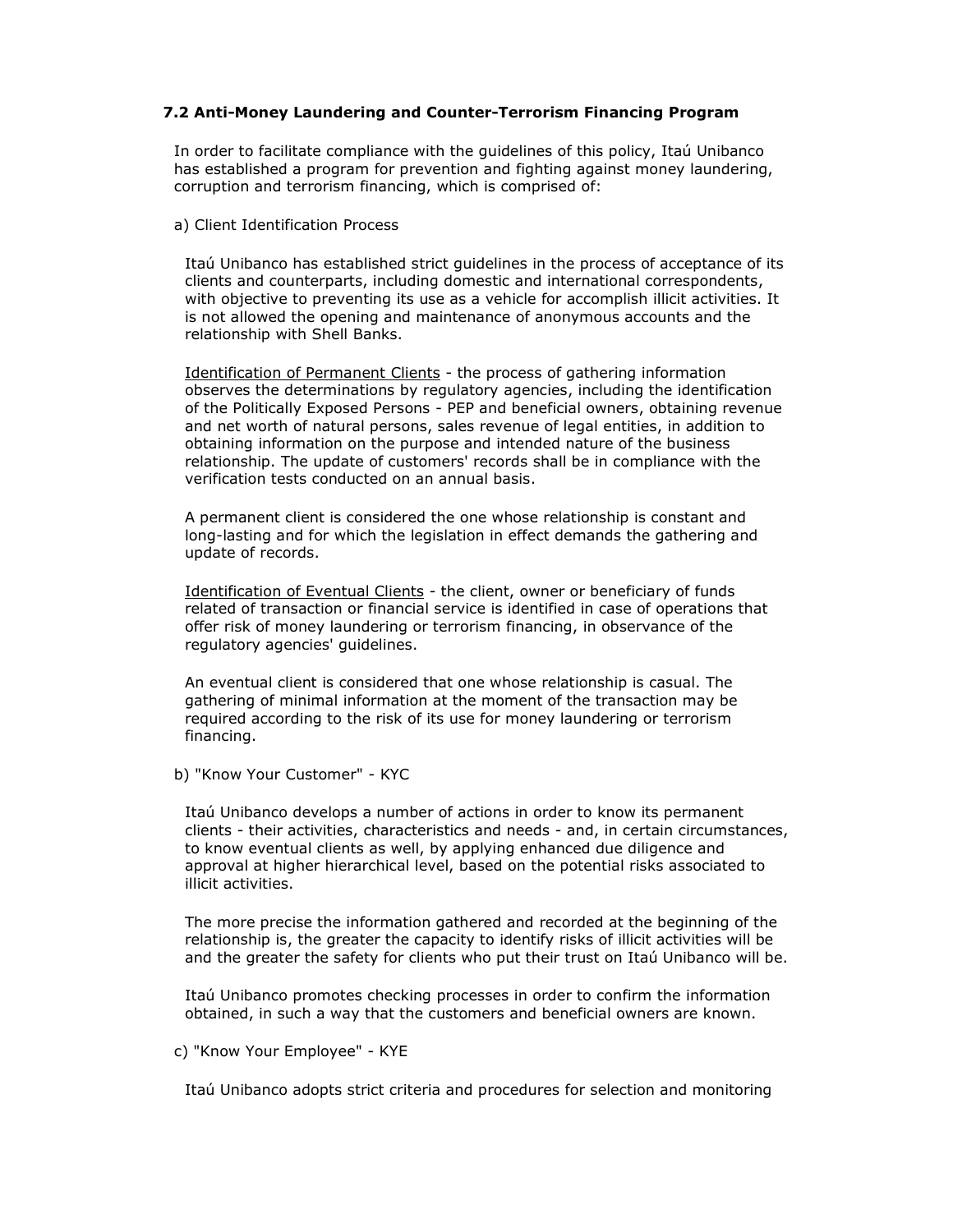### **7.2 Anti-Money Laundering and Counter-Terrorism Financing Program**

In order to facilitate compliance with the guidelines of this policy, Itaú Unibanco has established a program for prevention and fighting against money laundering, corruption and terrorism financing, which is comprised of:

a) Client Identification Process

Itaú Unibanco has established strict guidelines in the process of acceptance of its clients and counterparts, including domestic and international correspondents, with objective to preventing its use as a vehicle for accomplish illicit activities. It is not allowed the opening and maintenance of anonymous accounts and the relationship with Shell Banks.

Identification of Permanent Clients - the process of gathering information observes the determinations by regulatory agencies, including the identification of the Politically Exposed Persons - PEP and beneficial owners, obtaining revenue and net worth of natural persons, sales revenue of legal entities, in addition to obtaining information on the purpose and intended nature of the business relationship. The update of customers' records shall be in compliance with the verification tests conducted on an annual basis.

A permanent client is considered the one whose relationship is constant and long-lasting and for which the legislation in effect demands the gathering and update of records.

Identification of Eventual Clients - the client, owner or beneficiary of funds related of transaction or financial service is identified in case of operations that offer risk of money laundering or terrorism financing, in observance of the regulatory agencies' guidelines.

An eventual client is considered that one whose relationship is casual. The gathering of minimal information at the moment of the transaction may be required according to the risk of its use for money laundering or terrorism financing.

b) "Know Your Customer" - KYC

Itaú Unibanco develops a number of actions in order to know its permanent clients - their activities, characteristics and needs - and, in certain circumstances, to know eventual clients as well, by applying enhanced due diligence and approval at higher hierarchical level, based on the potential risks associated to illicit activities.

The more precise the information gathered and recorded at the beginning of the relationship is, the greater the capacity to identify risks of illicit activities will be and the greater the safety for clients who put their trust on Itaú Unibanco will be.

Itaú Unibanco promotes checking processes in order to confirm the information obtained, in such a way that the customers and beneficial owners are known.

c) "Know Your Employee" - KYE

Itaú Unibanco adopts strict criteria and procedures for selection and monitoring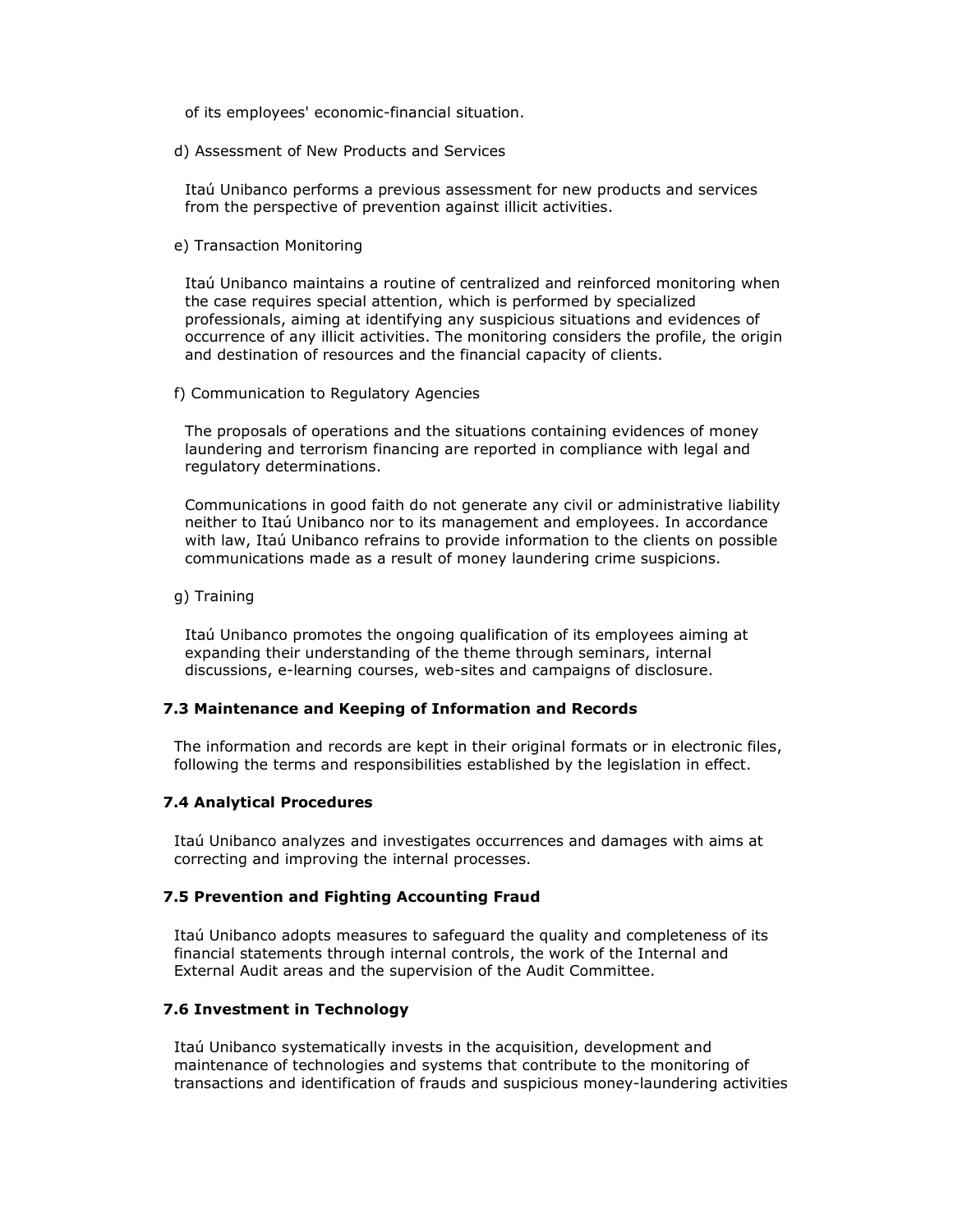of its employees' economic-financial situation.

d) Assessment of New Products and Services

Itaú Unibanco performs a previous assessment for new products and services from the perspective of prevention against illicit activities.

e) Transaction Monitoring

Itaú Unibanco maintains a routine of centralized and reinforced monitoring when the case requires special attention, which is performed by specialized professionals, aiming at identifying any suspicious situations and evidences of occurrence of any illicit activities. The monitoring considers the profile, the origin and destination of resources and the financial capacity of clients.

f) Communication to Regulatory Agencies

The proposals of operations and the situations containing evidences of money laundering and terrorism financing are reported in compliance with legal and regulatory determinations.

Communications in good faith do not generate any civil or administrative liability neither to Itaú Unibanco nor to its management and employees. In accordance with law, Itaú Unibanco refrains to provide information to the clients on possible communications made as a result of money laundering crime suspicions.

g) Training

Itaú Unibanco promotes the ongoing qualification of its employees aiming at expanding their understanding of the theme through seminars, internal discussions, e-learning courses, web-sites and campaigns of disclosure.

### **7.3 Maintenance and Keeping of Information and Records**

The information and records are kept in their original formats or in electronic files, following the terms and responsibilities established by the legislation in effect.

### **7.4 Analytical Procedures**

Itaú Unibanco analyzes and investigates occurrences and damages with aims at correcting and improving the internal processes.

### **7.5 Prevention and Fighting Accounting Fraud**

Itaú Unibanco adopts measures to safeguard the quality and completeness of its financial statements through internal controls, the work of the Internal and External Audit areas and the supervision of the Audit Committee.

### **7.6 Investment in Technology**

Itaú Unibanco systematically invests in the acquisition, development and maintenance of technologies and systems that contribute to the monitoring of transactions and identification of frauds and suspicious money-laundering activities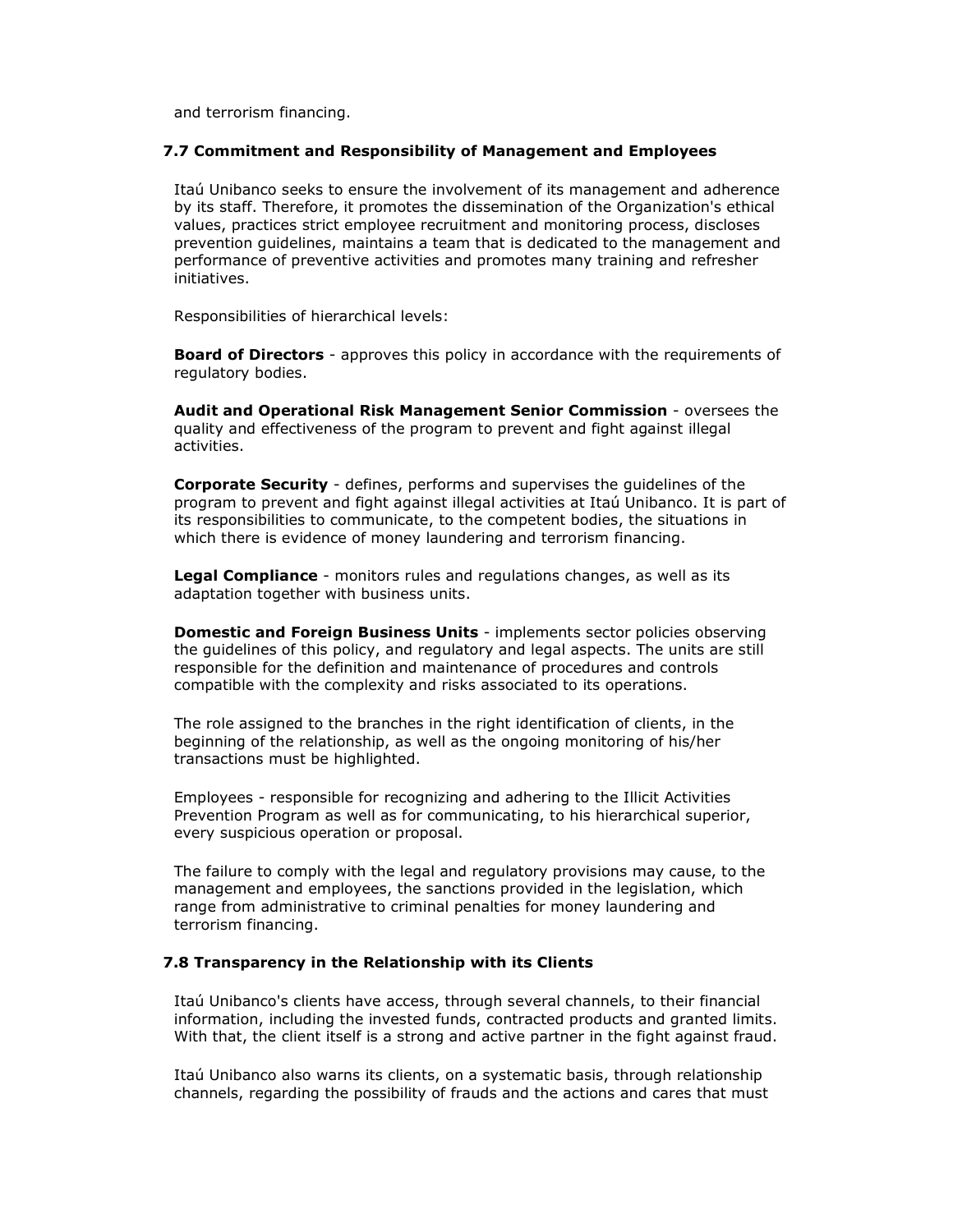and terrorism financing.

#### **7.7 Commitment and Responsibility of Management and Employees**

Itaú Unibanco seeks to ensure the involvement of its management and adherence by its staff. Therefore, it promotes the dissemination of the Organization's ethical values, practices strict employee recruitment and monitoring process, discloses prevention guidelines, maintains a team that is dedicated to the management and performance of preventive activities and promotes many training and refresher initiatives.

Responsibilities of hierarchical levels:

**Board of Directors** - approves this policy in accordance with the requirements of regulatory bodies.

**Audit and Operational Risk Management Senior Commission** - oversees the quality and effectiveness of the program to prevent and fight against illegal activities.

**Corporate Security** - defines, performs and supervises the guidelines of the program to prevent and fight against illegal activities at Itaú Unibanco. It is part of its responsibilities to communicate, to the competent bodies, the situations in which there is evidence of money laundering and terrorism financing.

**Legal Compliance** - monitors rules and regulations changes, as well as its adaptation together with business units.

**Domestic and Foreign Business Units** - implements sector policies observing the guidelines of this policy, and regulatory and legal aspects. The units are still responsible for the definition and maintenance of procedures and controls compatible with the complexity and risks associated to its operations.

The role assigned to the branches in the right identification of clients, in the beginning of the relationship, as well as the ongoing monitoring of his/her transactions must be highlighted.

Employees - responsible for recognizing and adhering to the Illicit Activities Prevention Program as well as for communicating, to his hierarchical superior, every suspicious operation or proposal.

The failure to comply with the legal and regulatory provisions may cause, to the management and employees, the sanctions provided in the legislation, which range from administrative to criminal penalties for money laundering and terrorism financing.

#### **7.8 Transparency in the Relationship with its Clients**

Itaú Unibanco's clients have access, through several channels, to their financial information, including the invested funds, contracted products and granted limits. With that, the client itself is a strong and active partner in the fight against fraud.

Itaú Unibanco also warns its clients, on a systematic basis, through relationship channels, regarding the possibility of frauds and the actions and cares that must